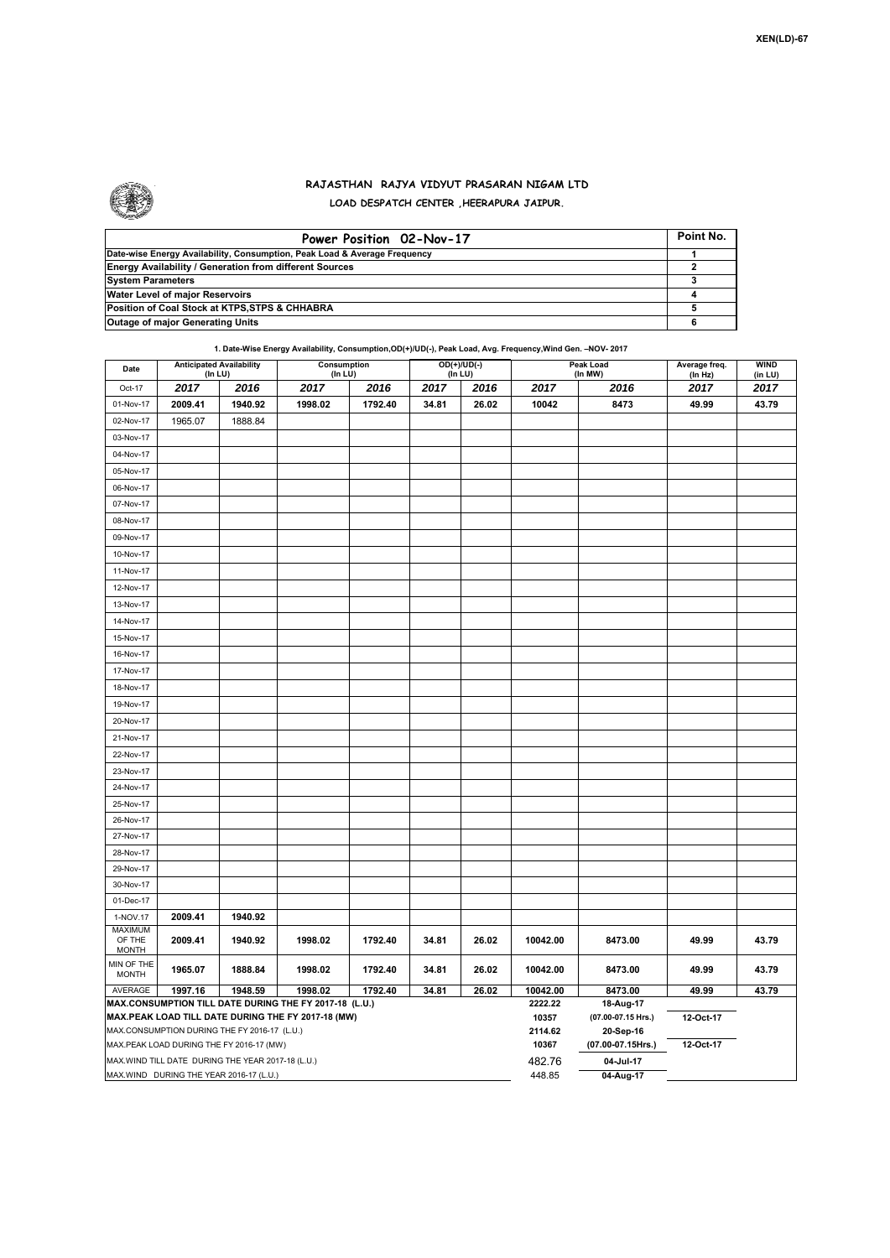

## **RAJASTHAN RAJYA VIDYUT PRASARAN NIGAM LTD LOAD DESPATCH CENTER ,HEERAPURA JAIPUR.**

| Power Position 02-Nov-17                                                  | Point No. |
|---------------------------------------------------------------------------|-----------|
| Date-wise Energy Availability, Consumption, Peak Load & Average Frequency |           |
| <b>Energy Availability / Generation from different Sources</b>            |           |
| <b>System Parameters</b>                                                  |           |
| Water Level of major Reservoirs                                           |           |
| Position of Coal Stock at KTPS, STPS & CHHABRA                            |           |
| <b>Outage of major Generating Units</b>                                   |           |

**1. Date-Wise Energy Availability, Consumption,OD(+)/UD(-), Peak Load, Avg. Frequency,Wind Gen. –NOV- 2017**

| Date                                                                                                         | <b>Anticipated Availability</b><br>(In LU) |                                                    | Consumption<br>(In LU) |         | $OD(+)/UD(-)$<br>(In LU) |       | Peak Load<br>(In MW) |                                 | Average freq.<br>(In Hz) | <b>WIND</b><br>(in LU) |
|--------------------------------------------------------------------------------------------------------------|--------------------------------------------|----------------------------------------------------|------------------------|---------|--------------------------|-------|----------------------|---------------------------------|--------------------------|------------------------|
| Oct-17                                                                                                       | 2017                                       | 2016                                               | 2017                   | 2016    | 2017                     | 2016  | 2017                 | 2016                            | 2017                     | 2017                   |
| 01-Nov-17                                                                                                    | 2009.41                                    | 1940.92                                            | 1998.02                | 1792.40 | 34.81                    | 26.02 | 10042                | 8473                            | 49.99                    | 43.79                  |
| 02-Nov-17                                                                                                    | 1965.07                                    | 1888.84                                            |                        |         |                          |       |                      |                                 |                          |                        |
| 03-Nov-17                                                                                                    |                                            |                                                    |                        |         |                          |       |                      |                                 |                          |                        |
| 04-Nov-17                                                                                                    |                                            |                                                    |                        |         |                          |       |                      |                                 |                          |                        |
| 05-Nov-17                                                                                                    |                                            |                                                    |                        |         |                          |       |                      |                                 |                          |                        |
| 06-Nov-17                                                                                                    |                                            |                                                    |                        |         |                          |       |                      |                                 |                          |                        |
| 07-Nov-17                                                                                                    |                                            |                                                    |                        |         |                          |       |                      |                                 |                          |                        |
| 08-Nov-17                                                                                                    |                                            |                                                    |                        |         |                          |       |                      |                                 |                          |                        |
| 09-Nov-17                                                                                                    |                                            |                                                    |                        |         |                          |       |                      |                                 |                          |                        |
| 10-Nov-17                                                                                                    |                                            |                                                    |                        |         |                          |       |                      |                                 |                          |                        |
| 11-Nov-17                                                                                                    |                                            |                                                    |                        |         |                          |       |                      |                                 |                          |                        |
| 12-Nov-17                                                                                                    |                                            |                                                    |                        |         |                          |       |                      |                                 |                          |                        |
| 13-Nov-17                                                                                                    |                                            |                                                    |                        |         |                          |       |                      |                                 |                          |                        |
| 14-Nov-17                                                                                                    |                                            |                                                    |                        |         |                          |       |                      |                                 |                          |                        |
| 15-Nov-17                                                                                                    |                                            |                                                    |                        |         |                          |       |                      |                                 |                          |                        |
| 16-Nov-17                                                                                                    |                                            |                                                    |                        |         |                          |       |                      |                                 |                          |                        |
| 17-Nov-17                                                                                                    |                                            |                                                    |                        |         |                          |       |                      |                                 |                          |                        |
| 18-Nov-17                                                                                                    |                                            |                                                    |                        |         |                          |       |                      |                                 |                          |                        |
|                                                                                                              |                                            |                                                    |                        |         |                          |       |                      |                                 |                          |                        |
| 19-Nov-17                                                                                                    |                                            |                                                    |                        |         |                          |       |                      |                                 |                          |                        |
| 20-Nov-17                                                                                                    |                                            |                                                    |                        |         |                          |       |                      |                                 |                          |                        |
| 21-Nov-17<br>22-Nov-17                                                                                       |                                            |                                                    |                        |         |                          |       |                      |                                 |                          |                        |
| 23-Nov-17                                                                                                    |                                            |                                                    |                        |         |                          |       |                      |                                 |                          |                        |
| 24-Nov-17                                                                                                    |                                            |                                                    |                        |         |                          |       |                      |                                 |                          |                        |
| 25-Nov-17                                                                                                    |                                            |                                                    |                        |         |                          |       |                      |                                 |                          |                        |
| 26-Nov-17                                                                                                    |                                            |                                                    |                        |         |                          |       |                      |                                 |                          |                        |
| 27-Nov-17                                                                                                    |                                            |                                                    |                        |         |                          |       |                      |                                 |                          |                        |
| 28-Nov-17                                                                                                    |                                            |                                                    |                        |         |                          |       |                      |                                 |                          |                        |
| 29-Nov-17                                                                                                    |                                            |                                                    |                        |         |                          |       |                      |                                 |                          |                        |
| 30-Nov-17                                                                                                    |                                            |                                                    |                        |         |                          |       |                      |                                 |                          |                        |
| 01-Dec-17                                                                                                    |                                            |                                                    |                        |         |                          |       |                      |                                 |                          |                        |
| 1-NOV.17                                                                                                     | 2009.41                                    | 1940.92                                            |                        |         |                          |       |                      |                                 |                          |                        |
| <b>MAXIMUM</b>                                                                                               |                                            |                                                    |                        |         |                          |       |                      |                                 |                          |                        |
| OF THE<br><b>MONTH</b>                                                                                       | 2009.41                                    | 1940.92                                            | 1998.02                | 1792.40 | 34.81                    | 26.02 | 10042.00             | 8473.00                         | 49.99                    | 43.79                  |
| MIN OF THE<br><b>MONTH</b>                                                                                   | 1965.07                                    | 1888.84                                            | 1998.02                | 1792.40 | 34.81                    | 26.02 | 10042.00             | 8473.00                         | 49.99                    | 43.79                  |
| AVERAGE                                                                                                      | 1997.16                                    | 1948.59                                            | 1998.02                | 1792.40 | 34.81                    | 26.02 | 10042.00<br>2222.22  | 8473.00                         | 49.99                    | 43.79                  |
| MAX.CONSUMPTION TILL DATE DURING THE FY 2017-18 (L.U.)<br>MAX.PEAK LOAD TILL DATE DURING THE FY 2017-18 (MW) |                                            |                                                    |                        |         |                          |       |                      | 18-Aug-17                       |                          |                        |
|                                                                                                              |                                            | MAX.CONSUMPTION DURING THE FY 2016-17 (L.U.)       |                        |         |                          |       | 10357<br>2114.62     | (07.00-07.15 Hrs.)<br>20-Sep-16 | 12-Oct-17                |                        |
|                                                                                                              |                                            | MAX.PEAK LOAD DURING THE FY 2016-17 (MW)           |                        |         |                          |       | 10367                | (07.00-07.15Hrs.)               | 12-Oct-17                |                        |
|                                                                                                              |                                            | MAX. WIND TILL DATE DURING THE YEAR 2017-18 (L.U.) |                        |         |                          |       | 482.76               | 04-Jul-17                       |                          |                        |
|                                                                                                              |                                            | MAX.WIND DURING THE YEAR 2016-17 (L.U.)            |                        | 448.85  | 04-Aug-17                |       |                      |                                 |                          |                        |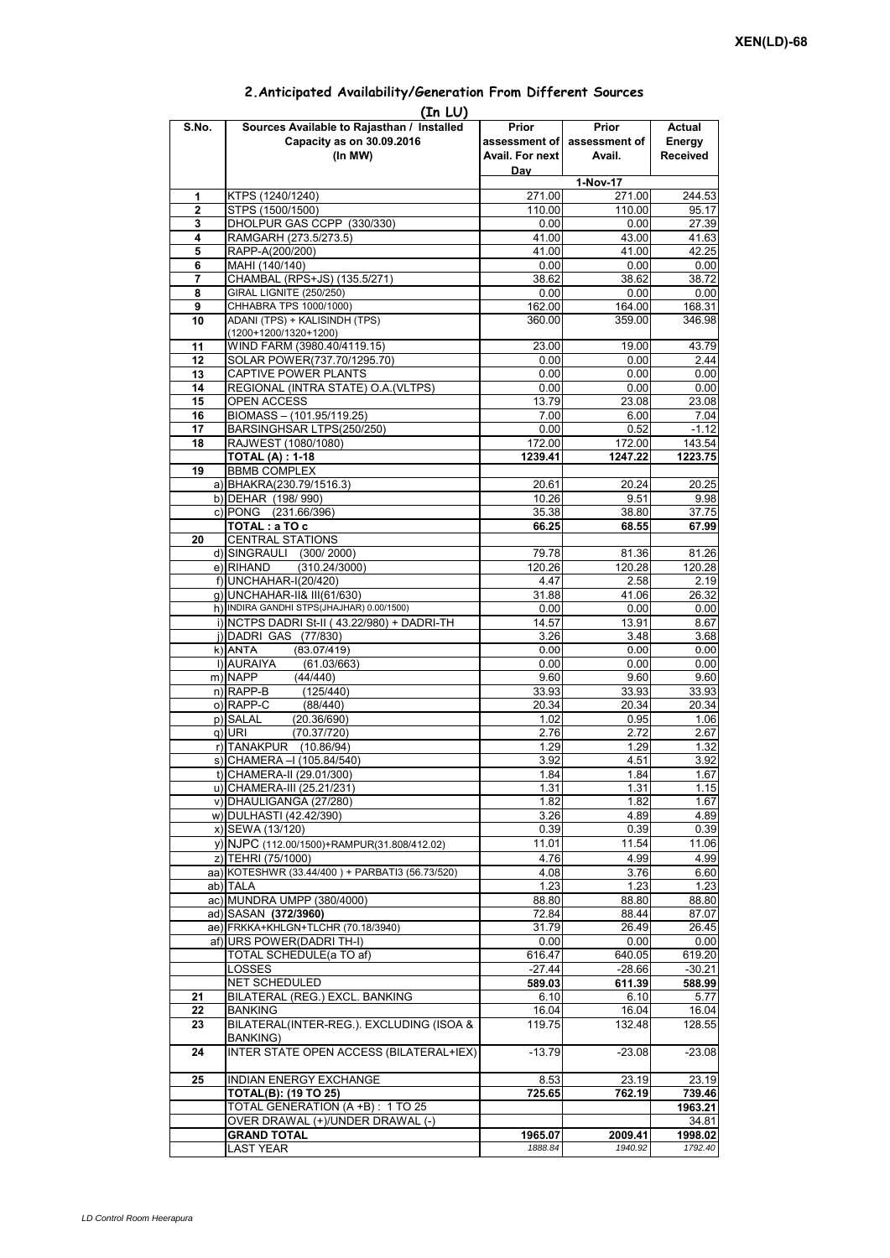| (In LU) |                                                 |                 |                             |                 |  |  |  |  |  |
|---------|-------------------------------------------------|-----------------|-----------------------------|-----------------|--|--|--|--|--|
| S.No.   | Sources Available to Rajasthan / Installed      | Prior           | Prior                       | Actual          |  |  |  |  |  |
|         | Capacity as on 30.09.2016                       |                 | assessment of assessment of | Energy          |  |  |  |  |  |
|         | (In MW)                                         | Avail. For next | Avail.                      | <b>Received</b> |  |  |  |  |  |
|         |                                                 | Day             |                             |                 |  |  |  |  |  |
|         |                                                 | 1-Nov-17        |                             |                 |  |  |  |  |  |
| 1       | KTPS (1240/1240)                                | 271.00          | 271.00                      | 244.53          |  |  |  |  |  |
| 2       | STPS (1500/1500)                                | 110.00          | 110.00                      | 95.17           |  |  |  |  |  |
| 3       | DHOLPUR GAS CCPP (330/330)                      | 0.00            | 0.00                        | 27.39           |  |  |  |  |  |
| 4       | RAMGARH (273.5/273.5)                           | 41.00           | 43.00                       | 41.63           |  |  |  |  |  |
| 5       | RAPP-A(200/200)                                 | 41.00           | 41.00                       | 42.25           |  |  |  |  |  |
| 6       | MAHI (140/140)                                  | 0.00            | 0.00                        | 0.00            |  |  |  |  |  |
| 7       | CHAMBAL (RPS+JS) (135.5/271)                    | 38.62           | 38.62                       | 38.72           |  |  |  |  |  |
| 8       | <b>GIRAL LIGNITE (250/250)</b>                  | 0.00            | 0.00                        | 0.00            |  |  |  |  |  |
| 9       | CHHABRA TPS 1000/1000)                          | 162.00          | 164.00                      | 168.31          |  |  |  |  |  |
| 10      | ADANI (TPS) + KALISINDH (TPS)                   | 360.00          | 359.00                      | 346.98          |  |  |  |  |  |
|         | $(1200+1200/1320+1200)$                         |                 |                             |                 |  |  |  |  |  |
| 11      | WIND FARM (3980.40/4119.15)                     | 23.00           | 19.00                       | 43.79           |  |  |  |  |  |
| 12      | SOLAR POWER(737.70/1295.70)                     | 0.00            | 0.00                        | 2.44            |  |  |  |  |  |
| 13      | CAPTIVE POWER PLANTS                            | 0.00            | 0.00                        | 0.00            |  |  |  |  |  |
| 14      | REGIONAL (INTRA STATE) O.A. (VLTPS)             | 0.00            | 0.00                        | 0.00            |  |  |  |  |  |
| 15      | OPEN ACCESS                                     | 13.79           | 23.08                       | 23.08           |  |  |  |  |  |
| 16      | BIOMASS - (101.95/119.25)                       | 7.00            | 6.00                        | 7.04            |  |  |  |  |  |
| 17      | BARSINGHSAR LTPS(250/250)                       | 0.00            | 0.52                        | $-1.12$         |  |  |  |  |  |
| 18      | RAJWEST (1080/1080)                             | 172.00          | 172.00                      | 143.54          |  |  |  |  |  |
|         | <b>TOTAL (A): 1-18</b>                          | 1239.41         | 1247.22                     | 1223.75         |  |  |  |  |  |
| 19      | <b>BBMB COMPLEX</b>                             |                 |                             |                 |  |  |  |  |  |
|         |                                                 | 20.61           | 20.24                       | 20.25           |  |  |  |  |  |
|         | a) BHAKRA(230.79/1516.3)                        |                 |                             |                 |  |  |  |  |  |
|         | b) DEHAR (198/990)                              | 10.26           | 9.51                        | 9.98            |  |  |  |  |  |
|         | c) PONG (231.66/396)                            | 35.38           | 38.80                       | 37.75           |  |  |  |  |  |
|         | TOTAL: a TO c                                   | 66.25           | 68.55                       | 67.99           |  |  |  |  |  |
| 20      | <b>CENTRAL STATIONS</b>                         |                 |                             |                 |  |  |  |  |  |
|         | d) SINGRAULI (300/2000)                         | 79.78           | 81.36                       | 81.26           |  |  |  |  |  |
|         | (310.24/3000)<br>e) RIHAND                      | 120.26          | 120.28                      | 120.28          |  |  |  |  |  |
|         | f) UNCHAHAR-I(20/420)                           | 4.47            | 2.58                        | 2.19            |  |  |  |  |  |
|         | g) UNCHAHAR-II& III(61/630)                     | 31.88           | 41.06                       | 26.32           |  |  |  |  |  |
|         | h) INDIRA GANDHI STPS(JHAJHAR) 0.00/1500)       | 0.00            | 0.00                        | 0.00            |  |  |  |  |  |
|         | i) NCTPS DADRI St-II (43.22/980) + DADRI-TH     | 14.57           | 13.91                       | 8.67            |  |  |  |  |  |
|         | j) DADRI GAS (77/830)                           | 3.26            | 3.48                        | 3.68            |  |  |  |  |  |
|         | $k)$ ANTA<br>(83.07/419)                        | 0.00            | 0.00                        | 0.00            |  |  |  |  |  |
|         | I) AURAIYA<br>(61.03/663)                       | 0.00            | 0.00                        | 0.00            |  |  |  |  |  |
|         | m) NAPP<br>(44/440)                             | 9.60            | 9.60                        | 9.60            |  |  |  |  |  |
|         | $n)$ RAPP-B<br>(125/440)                        | 33.93           | 33.93                       | 33.93           |  |  |  |  |  |
|         | o) RAPP-C<br>(88/440)                           | 20.34           | 20.34                       | 20.34           |  |  |  |  |  |
|         | p) SALAL<br>(20.36/690)                         | 1.02            | 0.95                        | 1.06            |  |  |  |  |  |
|         | (70.37/720)<br>q) URI                           | 2.76            | 2.72                        | 2.67            |  |  |  |  |  |
|         | r) TANAKPUR (10.86/94)                          | 1.29            | 1.29                        | 1.32            |  |  |  |  |  |
|         | s) CHAMERA - (105.84/540)                       | 3.92            | 4.51                        | 3.92            |  |  |  |  |  |
|         | t) CHAMERA-II (29.01/300)                       | 1.84            | 1.84                        | 1.67            |  |  |  |  |  |
|         | u) CHAMERA-III (25.21/231)                      | 1.31            | 1.31                        | 1.15            |  |  |  |  |  |
|         | v) DHAULIGANGA (27/280)                         | 1.82            | 1.82                        | 1.67            |  |  |  |  |  |
|         | w) DULHASTI (42.42/390)                         | 3.26            | 4.89                        | 4.89            |  |  |  |  |  |
|         | x) SEWA (13/120)                                | 0.39            | 0.39                        | 0.39            |  |  |  |  |  |
|         | y) NJPC (112.00/1500) + RAMPUR(31.808/412.02)   | 11.01           | 11.54                       | 11.06           |  |  |  |  |  |
|         | z) TEHRI (75/1000)                              | 4.76            | 4.99                        | 4.99            |  |  |  |  |  |
|         | aa) KOTESHWR (33.44/400) + PARBATI3 (56.73/520) |                 |                             | 6.60            |  |  |  |  |  |
|         |                                                 | 4.08            | 3.76                        |                 |  |  |  |  |  |
|         | ab) TALA                                        | 1.23            | 1.23                        | 1.23            |  |  |  |  |  |
|         | ac) MUNDRA UMPP (380/4000)                      | 88.80           | 88.80                       | 88.80           |  |  |  |  |  |
|         | ad) SASAN (372/3960)                            | 72.84           | 88.44                       | 87.07           |  |  |  |  |  |
|         | ae) FRKKA+KHLGN+TLCHR (70.18/3940)              | 31.79           | 26.49                       | 26.45           |  |  |  |  |  |
|         | af) URS POWER(DADRI TH-I)                       | 0.00            | 0.00                        | 0.00            |  |  |  |  |  |
|         | TOTAL SCHEDULE(a TO af)                         | 616.47          | 640.05                      | 619.20          |  |  |  |  |  |
|         | LOSSES                                          | $-27.44$        | $-28.66$                    | $-30.21$        |  |  |  |  |  |
|         | NET SCHEDULED                                   | 589.03          | 611.39                      | 588.99          |  |  |  |  |  |
| 21      | BILATERAL (REG.) EXCL. BANKING                  | 6.10            | 6.10                        | 5.77            |  |  |  |  |  |
| 22      | <b>BANKING</b>                                  | 16.04           | 16.04                       | 16.04           |  |  |  |  |  |
| 23      | BILATERAL(INTER-REG.). EXCLUDING (ISOA &        | 119.75          | 132.48                      | 128.55          |  |  |  |  |  |
|         | BANKING)                                        |                 |                             |                 |  |  |  |  |  |
| 24      | INTER STATE OPEN ACCESS (BILATERAL+IEX)         | $-13.79$        | $-23.08$                    | $-23.08$        |  |  |  |  |  |
|         |                                                 |                 |                             |                 |  |  |  |  |  |
| 25      | INDIAN ENERGY EXCHANGE                          | 8.53            | 23.19                       | 23.19           |  |  |  |  |  |
|         | <b>TOTAL(B): (19 TO 25)</b>                     | 725.65          | 762.19                      | 739.46          |  |  |  |  |  |
|         | TOTAL GENERATION (A +B) : 1 TO 25               |                 |                             | 1963.21         |  |  |  |  |  |
|         | OVER DRAWAL (+)/UNDER DRAWAL (-)                |                 |                             | 34.81           |  |  |  |  |  |
|         | <b>GRAND TOTAL</b>                              | 1965.07         | 2009.41                     | 1998.02         |  |  |  |  |  |
|         | <b>LAST YEAR</b>                                | 1888.84         | 1940.92                     | 1792.40         |  |  |  |  |  |

## **2.Anticipated Availability/Generation From Different Sources**